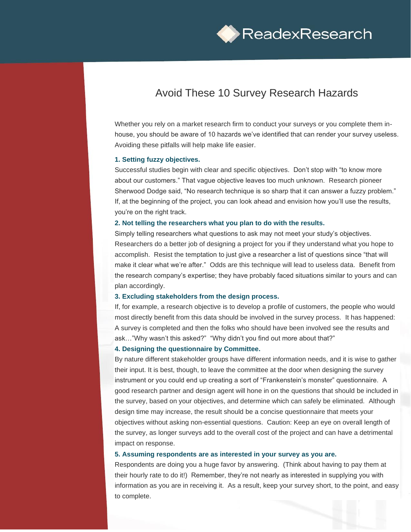

# Avoid These 10 Survey Research Hazards

Whether you rely on a market research firm to conduct your surveys or you complete them inhouse, you should be aware of 10 hazards we've identified that can render your survey useless. Avoiding these pitfalls will help make life easier.

#### **1. Setting fuzzy objectives.**

Successful studies begin with clear and specific objectives. Don't stop with "to know more about our customers." That vague objective leaves too much unknown. Research pioneer Sherwood Dodge said, "No research technique is so sharp that it can answer a fuzzy problem." If, at the beginning of the project, you can look ahead and envision how you'll use the results, you're on the right track.

#### **2. Not telling the researchers what you plan to do with the results.**

Simply telling researchers what questions to ask may not meet your study's objectives. Researchers do a better job of designing a project for you if they understand what you hope to accomplish. Resist the temptation to just give a researcher a list of questions since "that will make it clear what we're after." Odds are this technique will lead to useless data. Benefit from the research company's expertise; they have probably faced situations similar to yours and can plan accordingly.

#### **3. Excluding stakeholders from the design process.**

If, for example, a research objective is to develop a profile of customers, the people who would most directly benefit from this data should be involved in the survey process. It has happened: A survey is completed and then the folks who should have been involved see the results and ask…"Why wasn't this asked?" "Why didn't you find out more about that?"

#### **4. Designing the questionnaire by Committee.**

By nature different stakeholder groups have different information needs, and it is wise to gather their input. It is best, though, to leave the committee at the door when designing the survey instrument or you could end up creating a sort of "Frankenstein's monster" questionnaire. A good research partner and design agent will hone in on the questions that should be included in the survey, based on your objectives, and determine which can safely be eliminated. Although design time may increase, the result should be a concise questionnaire that meets your objectives without asking non-essential questions. Caution: Keep an eye on overall length of the survey, as longer surveys add to the overall cost of the project and can have a detrimental impact on response.

## **5. Assuming respondents are as interested in your survey as you are.**

Respondents are doing you a huge favor by answering. (Think about having to pay them at their hourly rate to do it!) Remember, they're not nearly as interested in supplying you with information as you are in receiving it. As a result, keep your survey short, to the point, and easy to complete.